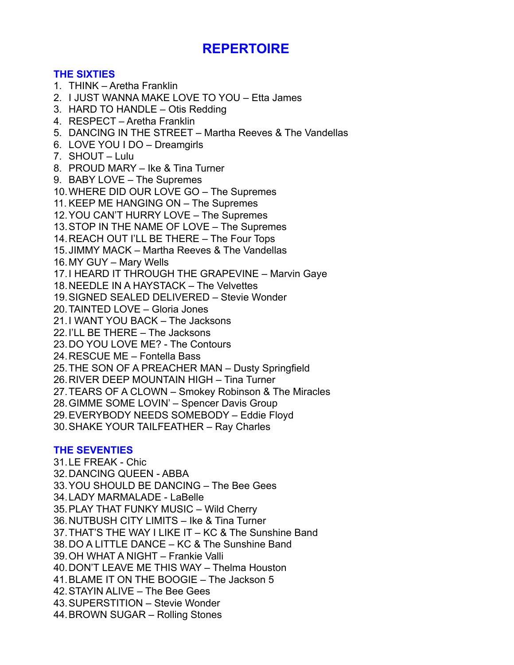# **REPERTOIRE**

## **THE SIXTIES**

- 1. THINK Aretha Franklin
- 2. I JUST WANNA MAKE LOVE TO YOU Etta James
- 3. HARD TO HANDLE Otis Redding
- 4. RESPECT Aretha Franklin
- 5. DANCING IN THE STREET Martha Reeves & The Vandellas
- 6. LOVE YOU I DO Dreamgirls
- 7. SHOUT Lulu
- 8. PROUD MARY Ike & Tina Turner
- 9. BABY LOVE The Supremes
- 10.WHERE DID OUR LOVE GO The Supremes
- 11. KEEP ME HANGING ON The Supremes
- 12.YOU CAN'T HURRY LOVE The Supremes
- 13.STOP IN THE NAME OF LOVE The Supremes
- 14.REACH OUT I'LL BE THERE The Four Tops
- 15.JIMMY MACK Martha Reeves & The Vandellas
- 16.MY GUY Mary Wells
- 17.I HEARD IT THROUGH THE GRAPEVINE Marvin Gaye
- 18.NEEDLE IN A HAYSTACK The Velvettes
- 19.SIGNED SEALED DELIVERED Stevie Wonder
- 20.TAINTED LOVE Gloria Jones
- 21.I WANT YOU BACK The Jacksons
- 22.I'LL BE THERE The Jacksons
- 23.DO YOU LOVE ME? The Contours
- 24.RESCUE ME Fontella Bass
- 25.THE SON OF A PREACHER MAN Dusty Springfield
- 26.RIVER DEEP MOUNTAIN HIGH Tina Turner
- 27.TEARS OF A CLOWN Smokey Robinson & The Miracles
- 28.GIMME SOME LOVIN' Spencer Davis Group
- 29.EVERYBODY NEEDS SOMEBODY Eddie Floyd
- 30.SHAKE YOUR TAILFEATHER Ray Charles

## **THE SEVENTIES**

31.LE FREAK - Chic 32.DANCING QUEEN - ABBA 33.YOU SHOULD BE DANCING – The Bee Gees 34.LADY MARMALADE - LaBelle 35.PLAY THAT FUNKY MUSIC – Wild Cherry 36.NUTBUSH CITY LIMITS – Ike & Tina Turner 37.THAT'S THE WAY I LIKE IT – KC & The Sunshine Band 38.DO A LITTLE DANCE – KC & The Sunshine Band 39.OH WHAT A NIGHT – Frankie Valli 40.DON'T LEAVE ME THIS WAY – Thelma Houston 41.BLAME IT ON THE BOOGIE – The Jackson 5 42.STAYIN ALIVE – The Bee Gees 43.SUPERSTITION – Stevie Wonder 44.BROWN SUGAR – Rolling Stones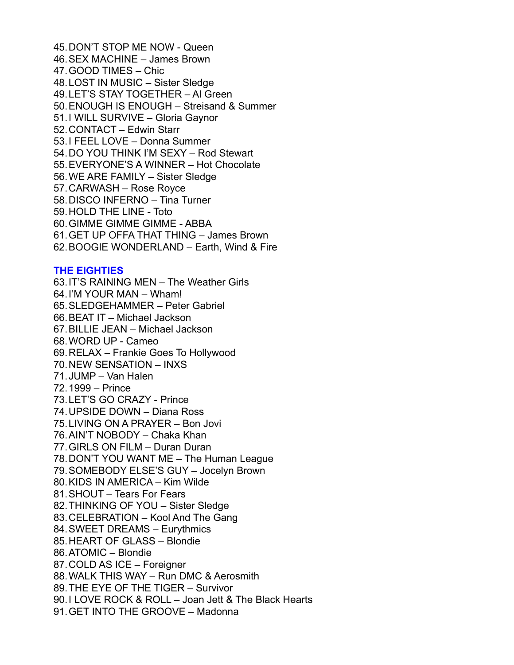45.DON'T STOP ME NOW - Queen 46.SEX MACHINE – James Brown 47.GOOD TIMES – Chic 48.LOST IN MUSIC – Sister Sledge 49.LET'S STAY TOGETHER – Al Green 50.ENOUGH IS ENOUGH – Streisand & Summer 51.I WILL SURVIVE – Gloria Gaynor 52.CONTACT – Edwin Starr 53.I FEEL LOVE – Donna Summer 54.DO YOU THINK I'M SEXY – Rod Stewart 55.EVERYONE'S A WINNER – Hot Chocolate 56.WE ARE FAMILY – Sister Sledge 57.CARWASH – Rose Royce 58.DISCO INFERNO – Tina Turner 59.HOLD THE LINE - Toto 60.GIMME GIMME GIMME - ABBA 61.GET UP OFFA THAT THING – James Brown 62.BOOGIE WONDERLAND – Earth, Wind & Fire

### **THE EIGHTIES**

63.IT'S RAINING MEN – The Weather Girls 64.I'M YOUR MAN – Wham! 65.SLEDGEHAMMER – Peter Gabriel 66.BEAT IT – Michael Jackson 67.BILLIE JEAN – Michael Jackson 68.WORD UP - Cameo 69.RELAX – Frankie Goes To Hollywood 70.NEW SENSATION – INXS 71.JUMP – Van Halen 72.1999 – Prince 73.LET'S GO CRAZY - Prince 74.UPSIDE DOWN – Diana Ross 75.LIVING ON A PRAYER – Bon Jovi 76.AIN'T NOBODY – Chaka Khan 77.GIRLS ON FILM – Duran Duran 78.DON'T YOU WANT ME – The Human League 79.SOMEBODY ELSE'S GUY – Jocelyn Brown 80.KIDS IN AMERICA – Kim Wilde 81.SHOUT – Tears For Fears 82.THINKING OF YOU – Sister Sledge 83.CELEBRATION – Kool And The Gang 84.SWEET DREAMS – Eurythmics 85.HEART OF GLASS – Blondie 86.ATOMIC – Blondie 87.COLD AS ICE – Foreigner 88.WALK THIS WAY – Run DMC & Aerosmith 89.THE EYE OF THE TIGER – Survivor 90.I LOVE ROCK & ROLL – Joan Jett & The Black Hearts

91.GET INTO THE GROOVE – Madonna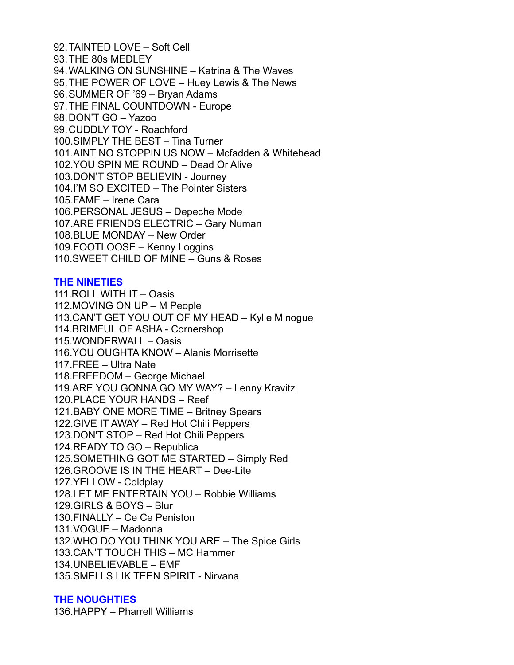92.TAINTED LOVE – Soft Cell 93.THE 80s MEDLEY 94.WALKING ON SUNSHINE – Katrina & The Waves 95.THE POWER OF LOVE – Huey Lewis & The News 96.SUMMER OF '69 – Bryan Adams 97.THE FINAL COUNTDOWN - Europe 98.DON'T GO – Yazoo 99.CUDDLY TOY - Roachford 100.SIMPLY THE BEST – Tina Turner 101.AINT NO STOPPIN US NOW – Mcfadden & Whitehead 102.YOU SPIN ME ROUND – Dead Or Alive 103.DON'T STOP BELIEVIN - Journey 104.I'M SO EXCITED – The Pointer Sisters 105.FAME – Irene Cara 106.PERSONAL JESUS – Depeche Mode 107.ARE FRIENDS ELECTRIC – Gary Numan 108.BLUE MONDAY – New Order 109.FOOTLOOSE – Kenny Loggins 110.SWEET CHILD OF MINE – Guns & Roses

### **THE NINETIES**

111.ROLL WITH IT – Oasis 112.MOVING ON UP – M People 113.CAN'T GET YOU OUT OF MY HEAD – Kylie Minogue 114.BRIMFUL OF ASHA - Cornershop 115.WONDERWALL – Oasis 116.YOU OUGHTA KNOW – Alanis Morrisette 117.FREE – Ultra Nate 118.FREEDOM – George Michael 119.ARE YOU GONNA GO MY WAY? – Lenny Kravitz 120.PLACE YOUR HANDS – Reef 121.BABY ONE MORE TIME – Britney Spears 122.GIVE IT AWAY – Red Hot Chili Peppers 123.DON'T STOP – Red Hot Chili Peppers 124.READY TO GO – Republica 125.SOMETHING GOT ME STARTED – Simply Red 126.GROOVE IS IN THE HEART – Dee-Lite 127.YELLOW - Coldplay 128.LET ME ENTERTAIN YOU – Robbie Williams 129.GIRLS & BOYS – Blur 130.FINALLY – Ce Ce Peniston 131.VOGUE – Madonna 132.WHO DO YOU THINK YOU ARE – The Spice Girls 133.CAN'T TOUCH THIS – MC Hammer 134.UNBELIEVABLE – EMF 135.SMELLS LIK TEEN SPIRIT - Nirvana

### **THE NOUGHTIES**

136.HAPPY – Pharrell Williams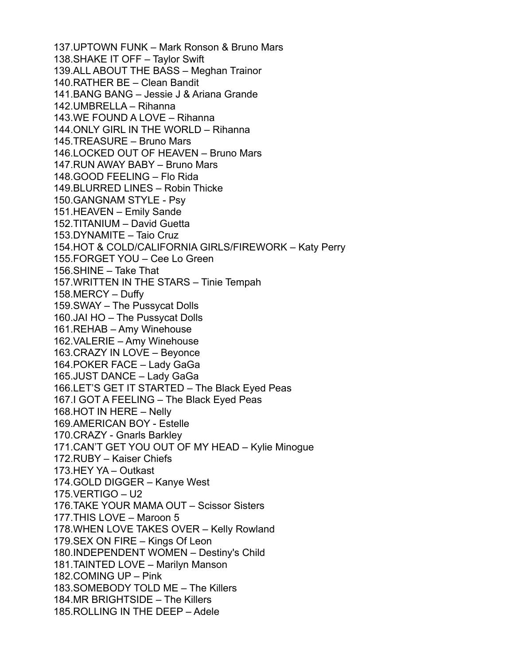137.UPTOWN FUNK – Mark Ronson & Bruno Mars 138.SHAKE IT OFF – Taylor Swift 139.ALL ABOUT THE BASS – Meghan Trainor 140.RATHER BE – Clean Bandit 141.BANG BANG – Jessie J & Ariana Grande 142.UMBRELLA – Rihanna 143.WE FOUND A LOVE – Rihanna 144.ONLY GIRL IN THE WORLD – Rihanna 145.TREASURE – Bruno Mars 146.LOCKED OUT OF HEAVEN – Bruno Mars 147.RUN AWAY BABY – Bruno Mars 148.GOOD FEELING – Flo Rida 149.BLURRED LINES – Robin Thicke 150.GANGNAM STYLE - Psy 151.HEAVEN – Emily Sande 152.TITANIUM – David Guetta 153.DYNAMITE – Taio Cruz 154.HOT & COLD/CALIFORNIA GIRLS/FIREWORK – Katy Perry 155.FORGET YOU – Cee Lo Green 156.SHINE – Take That 157.WRITTEN IN THE STARS – Tinie Tempah 158.MERCY – Duffy 159.SWAY – The Pussycat Dolls 160.JAI HO – The Pussycat Dolls 161.REHAB – Amy Winehouse 162.VALERIE – Amy Winehouse 163.CRAZY IN LOVE – Beyonce 164.POKER FACE – Lady GaGa 165.JUST DANCE – Lady GaGa 166.LET'S GET IT STARTED – The Black Eyed Peas 167.I GOT A FEELING – The Black Eyed Peas 168.HOT IN HERE – Nelly 169.AMERICAN BOY - Estelle 170.CRAZY - Gnarls Barkley 171.CAN'T GET YOU OUT OF MY HEAD – Kylie Minogue 172.RUBY – Kaiser Chiefs 173.HEY YA – Outkast 174.GOLD DIGGER – Kanye West 175.VERTIGO – U2 176.TAKE YOUR MAMA OUT – Scissor Sisters 177.THIS LOVE – Maroon 5 178.WHEN LOVE TAKES OVER – Kelly Rowland 179.SEX ON FIRE – Kings Of Leon 180.INDEPENDENT WOMEN – Destiny's Child 181.TAINTED LOVE – Marilyn Manson 182.COMING UP – Pink 183.SOMEBODY TOLD ME – The Killers 184.MR BRIGHTSIDE – The Killers 185.ROLLING IN THE DEEP – Adele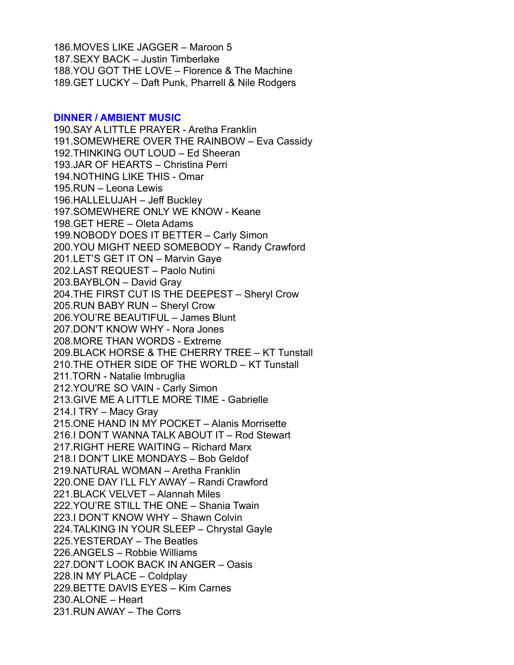186.MOVES LIKE JAGGER – Maroon 5 187.SEXY BACK – Justin Timberlake 188.YOU GOT THE LOVE – Florence & The Machine 189.GET LUCKY – Daft Punk, Pharrell & Nile Rodgers

#### **DINNER / AMBIENT MUSIC**

190.SAY A LITTLE PRAYER - Aretha Franklin 191.SOMEWHERE OVER THE RAINBOW – Eva Cassidy 192.THINKING OUT LOUD – Ed Sheeran 193.JAR OF HEARTS – Christina Perri 194.NOTHING LIKE THIS - Omar 195.RUN – Leona Lewis 196.HALLELUJAH – Jeff Buckley 197.SOMEWHERE ONLY WE KNOW - Keane 198.GET HERE – Oleta Adams 199.NOBODY DOES IT BETTER – Carly Simon 200.YOU MIGHT NEED SOMEBODY – Randy Crawford 201.LET'S GET IT ON – Marvin Gaye 202.LAST REQUEST – Paolo Nutini 203.BAYBLON – David Gray 204.THE FIRST CUT IS THE DEEPEST – Sheryl Crow 205.RUN BABY RUN – Sheryl Crow 206.YOU'RE BEAUTIFUL – James Blunt 207.DON'T KNOW WHY - Nora Jones 208.MORE THAN WORDS - Extreme 209.BLACK HORSE & THE CHERRY TREE – KT Tunstall 210.THE OTHER SIDE OF THE WORLD – KT Tunstall 211.TORN - Natalie Imbruglia 212.YOU'RE SO VAIN - Carly Simon 213.GIVE ME A LITTLE MORE TIME - Gabrielle 214.I TRY – Macy Gray 215.ONE HAND IN MY POCKET – Alanis Morrisette 216.I DON'T WANNA TALK ABOUT IT – Rod Stewart 217.RIGHT HERE WAITING – Richard Marx 218.I DON'T LIKE MONDAYS – Bob Geldof 219.NATURAL WOMAN – Aretha Franklin 220.ONE DAY I'LL FLY AWAY – Randi Crawford 221.BLACK VELVET – Alannah Miles 222.YOU'RE STILL THE ONE – Shania Twain 223.I DON'T KNOW WHY – Shawn Colvin 224.TALKING IN YOUR SLEEP – Chrystal Gayle 225.YESTERDAY – The Beatles 226.ANGELS – Robbie Williams 227.DON'T LOOK BACK IN ANGER – Oasis 228.IN MY PLACE – Coldplay 229.BETTE DAVIS EYES – Kim Carnes 230.ALONE – Heart 231.RUN AWAY – The Corrs